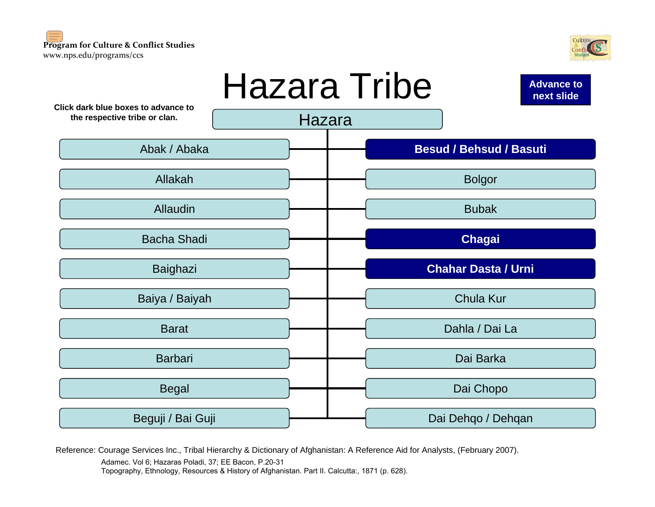#### <span id="page-0-0"></span>**Program for Culture & Conflict Studies** www.nps.edu/programs/ccs





Reference: Courage Services Inc., Tribal Hierarchy & Dictionary of Afghanistan: A Reference Aid for Analysts, (February 2007).

Adamec. Vol 6; Hazaras Poladi, 37; EE Bacon, P.20-31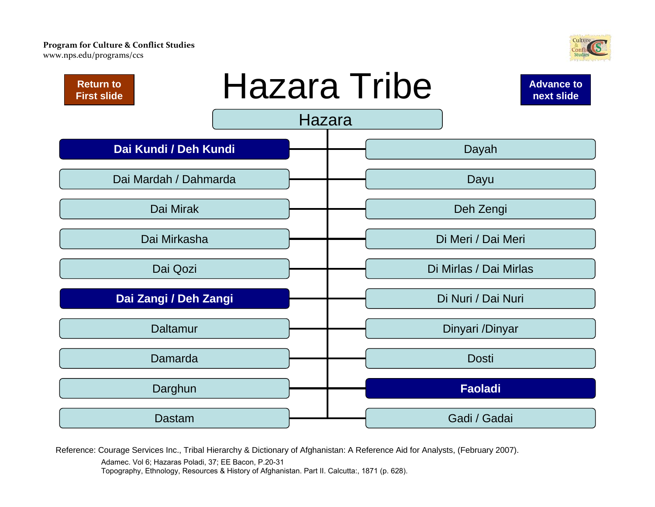<span id="page-1-0"></span>www.nps.edu/programs/ccs





Reference: Courage Services Inc., Tribal Hierarchy & Dictionary of Afghanistan: A Reference Aid for Analysts, (February 2007).

Adamec. Vol 6; Hazaras Poladi, 37; EE Bacon, P.20-31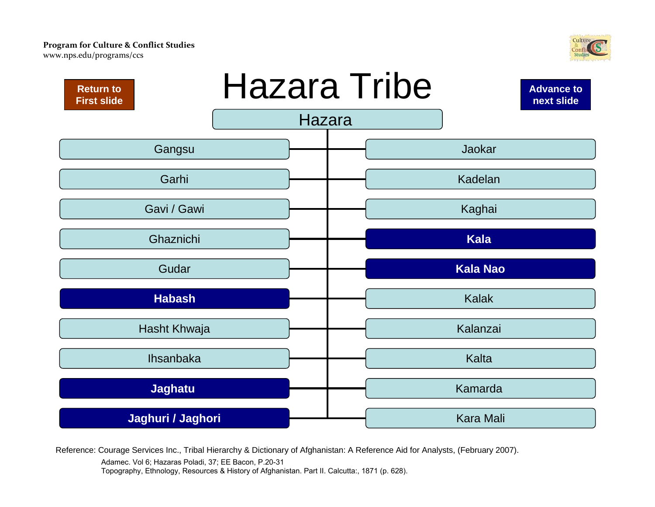<span id="page-2-0"></span>www.nps.edu/programs/ccs





Reference: Courage Services Inc., Tribal Hierarchy & Dictionary of Afghanistan: A Reference Aid for Analysts, (February 2007).

Adamec. Vol 6; Hazaras Poladi, 37; EE Bacon, P.20-31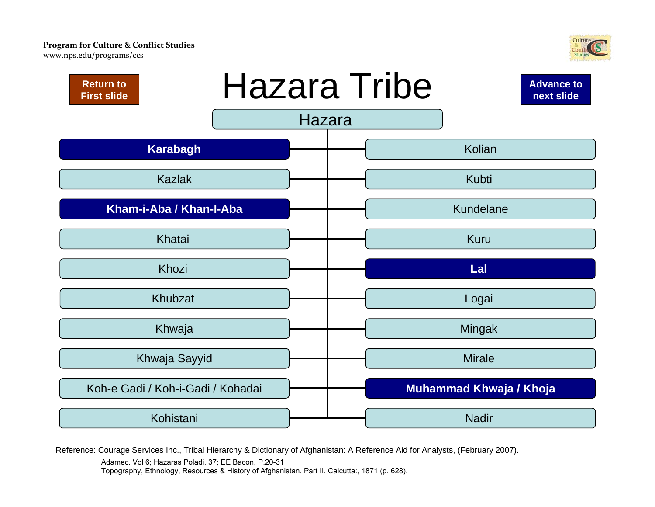<span id="page-3-0"></span>www.nps.edu/programs/ccs





Reference: Courage Services Inc., Tribal Hierarchy & Dictionary of Afghanistan: A Reference Aid for Analysts, (February 2007).

Adamec. Vol 6; Hazaras Poladi, 37; EE Bacon, P.20-31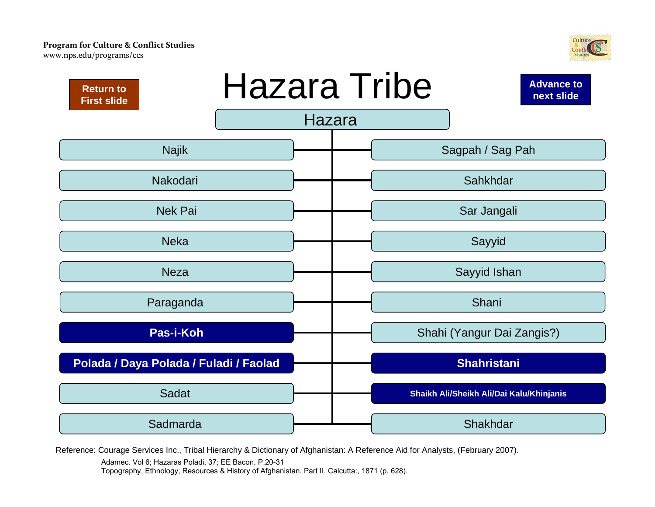<span id="page-4-0"></span>www.nps.edu/programs/ccs





Reference: Courage Services Inc., Tribal Hierarchy & Dictionary of Afghanistan: A Reference Aid for Analysts, (February 2007).

Adamec. Vol 6; Hazaras Poladi, 37; EE Bacon, P.20-31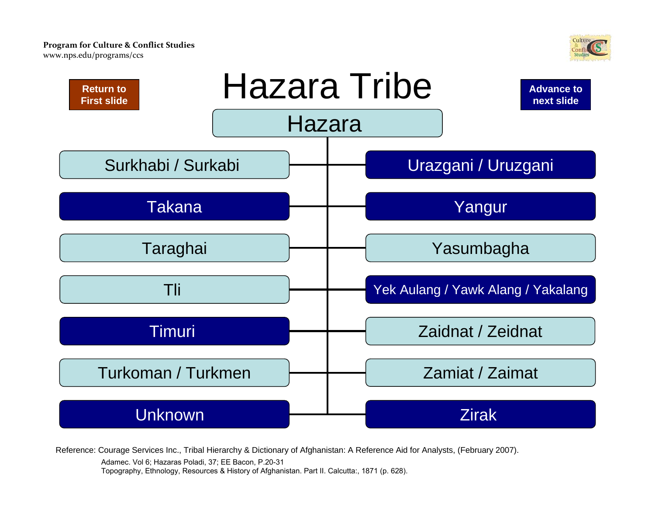<span id="page-5-0"></span>www.nps.e[du/programs/ccs](http://www.nps.edu/Programs/CCS)





Reference: Courage Services Inc., Tribal Hierarchy & Dictionary of Afghanistan: A Reference Aid for Analysts, (February 2007).

Adamec. Vol 6; Hazaras Poladi, 37; EE Bacon, P.20-31 Topography, Ethnology, Resources & History of Afghanistan. Part II. Calcutta:, 1871 (p. 628).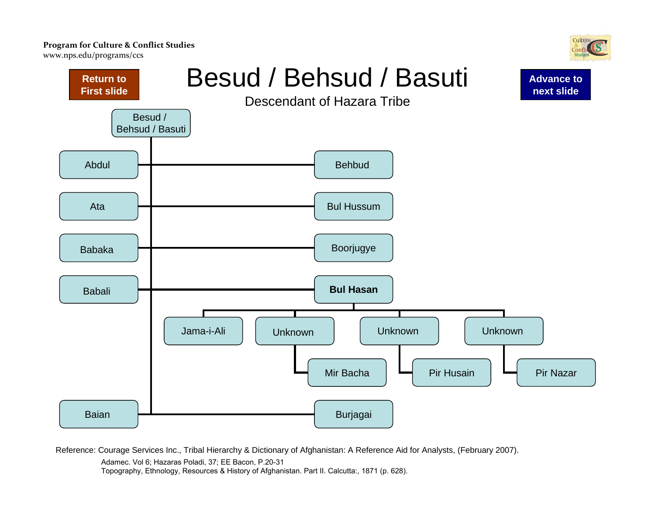<span id="page-6-0"></span>www.nps.e[du/programs/ccs](http://www.nps.edu/Programs/CCS)



Reference: Courage Services Inc., Tribal Hierarchy & Dictionary of Afghanistan: A Reference Aid for Analysts, (February 2007).

Adamec. Vol 6; Hazaras Poladi, 37; EE Bacon, P.20-31

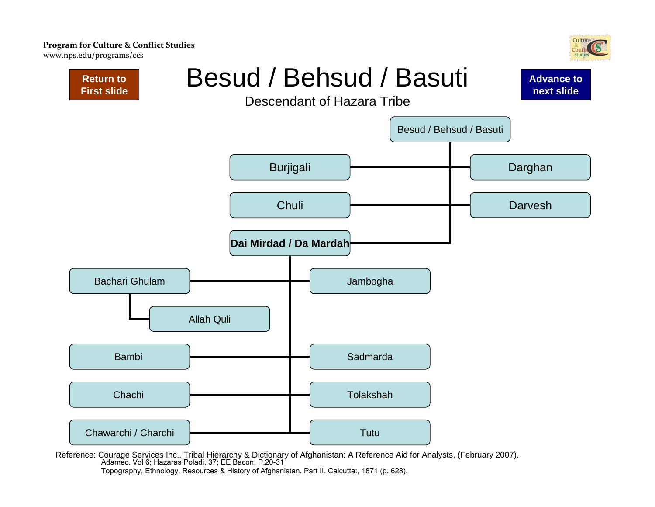<span id="page-7-0"></span>www.nps.e[du/programs/ccs](http://www.nps.edu/Programs/CCS)





Reference: Courage Services Inc., Tribal Hierarchy & Dictionary of Afghanistan: A Reference Aid for Analysts, (February 2007). Adamec. Vol 6; Hazaras Poladi, 37; EE Bacon, P.20-31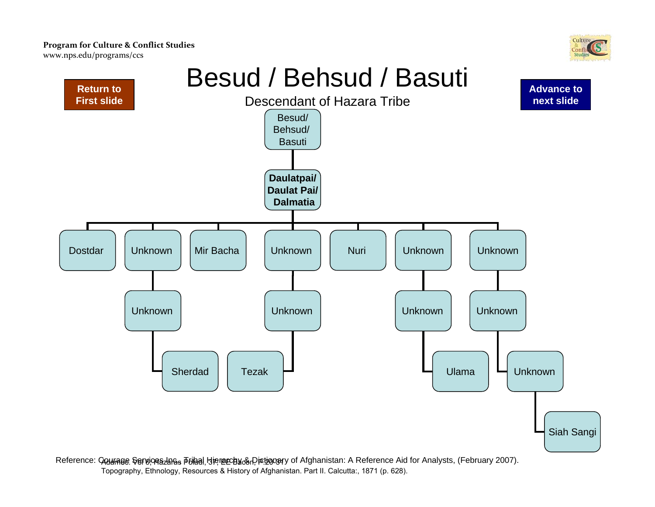<span id="page-8-0"></span>www.nps.e[du/programs/ccs](http://www.nps.edu/Programs/CCS)





Reference: **Counage Sercioeszae**s **Friaal Hierarchy & Dictionar**y of Afghanistan: A Reference Aid for Analysts, (February 2007). Topography, Ethnology, Resources & History of Afghanistan. Part II. Calcutta:, 1871 (p. 628).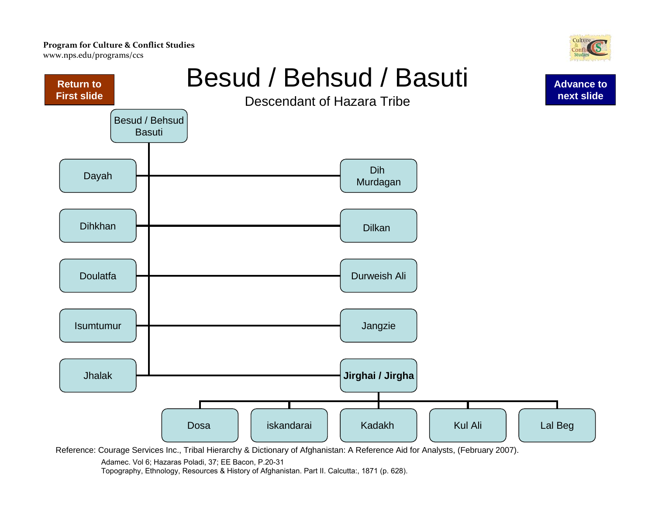<span id="page-9-0"></span>www.nps.e[du/programs/ccs](http://www.nps.edu/Programs/CCS)





Reference: Courage Services Inc., Tribal Hierarchy & Dictionary of Afghanistan: A Reference Aid for Analysts, (February 2007).

Adamec. Vol 6; Hazaras Poladi, 37; EE Bacon, P.20-31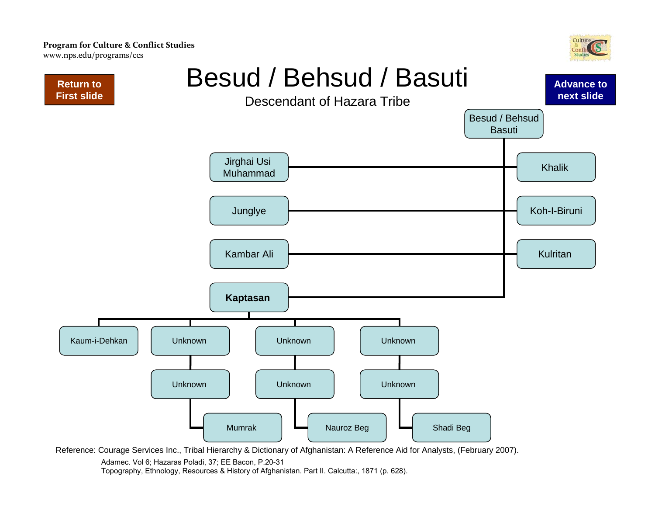<span id="page-10-0"></span>**Program for Culture & Conflict Studies** www.nps.e[du/programs/ccs](http://www.nps.edu/Programs/CCS)





Reference: Courage Services Inc., Tribal Hierarchy & Dictionary of Afghanistan: A Reference Aid for Analysts, (February 2007).

Adamec. Vol 6; Hazaras Poladi, 37; EE Bacon, P.20-31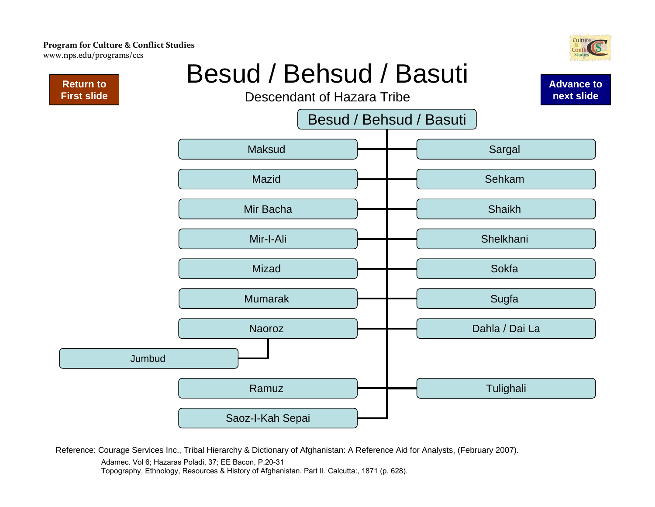<span id="page-11-0"></span>www.nps.e[du/programs/ccs](http://www.nps.edu/Programs/CCS)

**Return to [First slide](#page-0-0)**

### Besud / Behsud / Basuti

Descendant of Hazara Tribe

Besud / Behsud / Basuti



Reference: Courage Services Inc., Tribal Hierarchy & Dictionary of Afghanistan: A Reference Aid for Analysts, (February 2007).

Adamec. Vol 6; Hazaras Poladi, 37; EE Bacon, P.20-31

Topography, Ethnology, Resources & History of Afghanistan. Part II. Calcutta:, 1871 (p. 628).



**[Advance to](#page-12-0) next slide**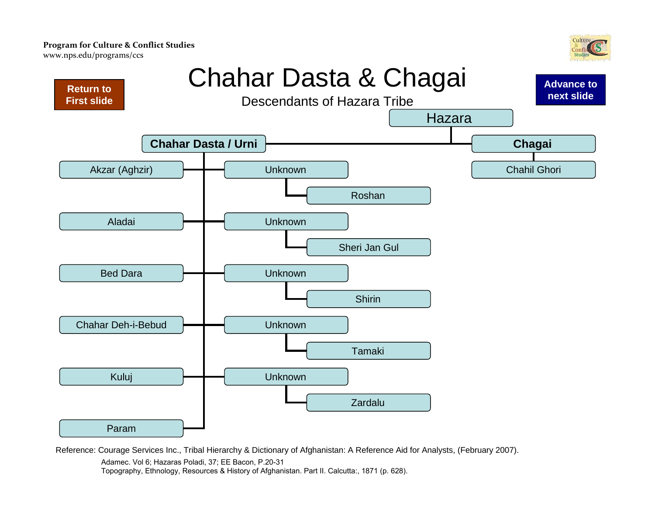<span id="page-12-0"></span>www.nps.e[du/programs/ccs](http://www.nps.edu/Programs/CCS)



**[Advance to](#page-13-0)** 

### Chahar Dasta & Chagai



Reference: Courage Services Inc., Tribal Hierarchy & Dictionary of Afghanistan: A Reference Aid for Analysts, (February 2007). Adamec. Vol 6; Hazaras Poladi, 37; EE Bacon, P.20-31 Topography, Ethnology, Resources & History of Afghanistan. Part II. Calcutta:, 1871 (p. 628).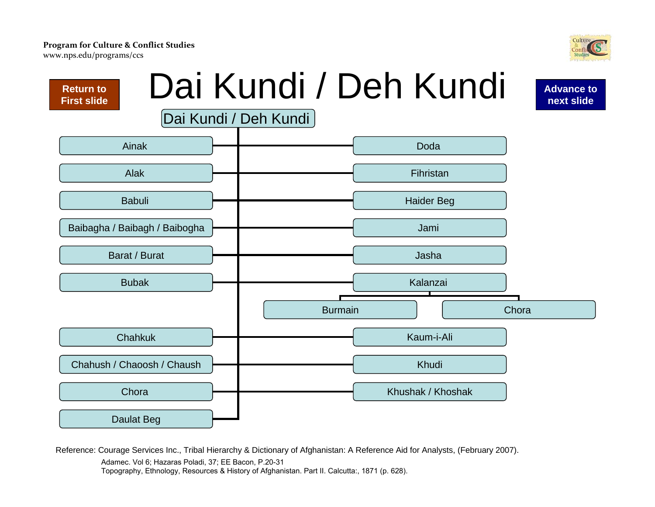<span id="page-13-0"></span>www.nps.e[du/programs/ccs](http://www.nps.edu/Programs/CCS)



Reference: Courage Services Inc., Tribal Hierarchy & Dictionary of Afghanistan: A Reference Aid for Analysts, (February 2007). Adamec. Vol 6; Hazaras Poladi, 37; EE Bacon, P.20-31

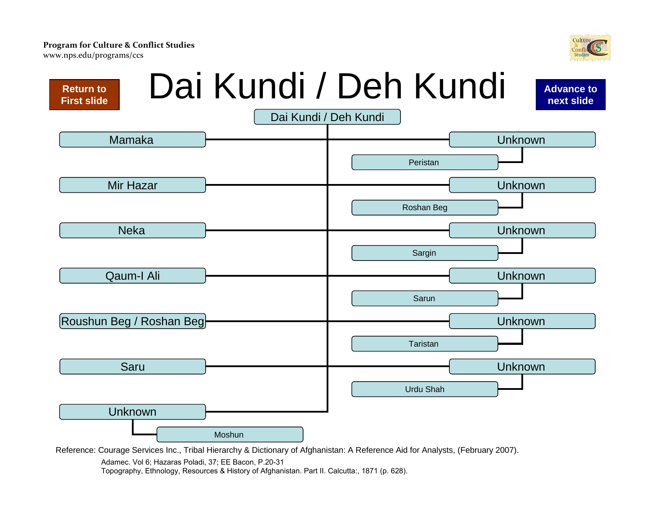<span id="page-14-0"></span>www.nps.e[du/programs/ccs](http://www.nps.edu/Programs/CCS)



Reference: Courage Services Inc., Tribal Hierarchy & Dictionary of Afghanistan: A Reference Aid for Analysts, (February 2007).

Adamec. Vol 6; Hazaras Poladi, 37; EE Bacon, P.20-31

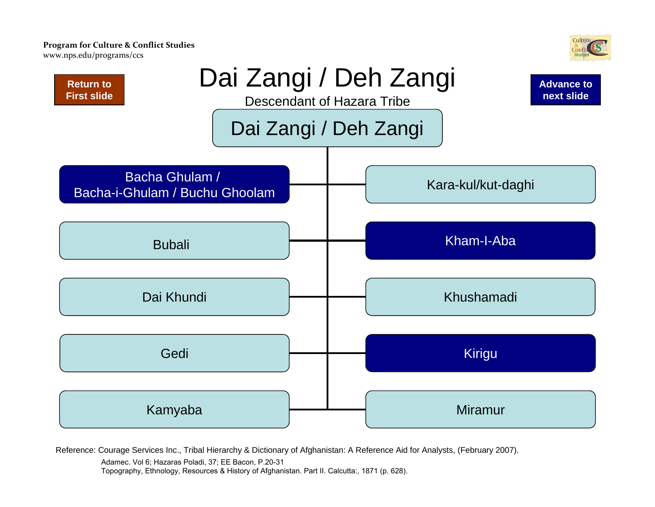<span id="page-15-0"></span>www.nps.e[du/programs/ccs](http://www.nps.edu/Programs/CCS)



Reference: Courage Services Inc., Tribal Hierarchy & Dictionary of Afghanistan: A Reference Aid for Analysts, (February 2007).

Adamec. Vol 6; Hazaras Poladi, 37; EE Bacon, P.20-31

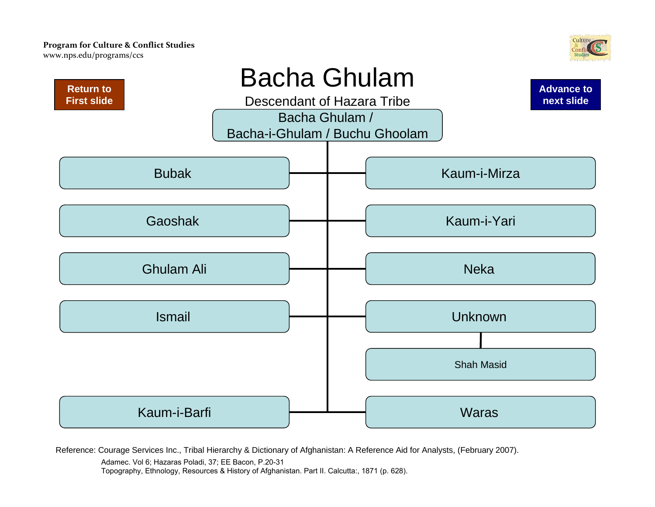<span id="page-16-0"></span>www.nps.e[du/programs/ccs](http://www.nps.edu/Programs/CCS)





Reference: Courage Services Inc., Tribal Hierarchy & Dictionary of Afghanistan: A Reference Aid for Analysts, (February 2007).

Adamec. Vol 6; Hazaras Poladi, 37; EE Bacon, P.20-31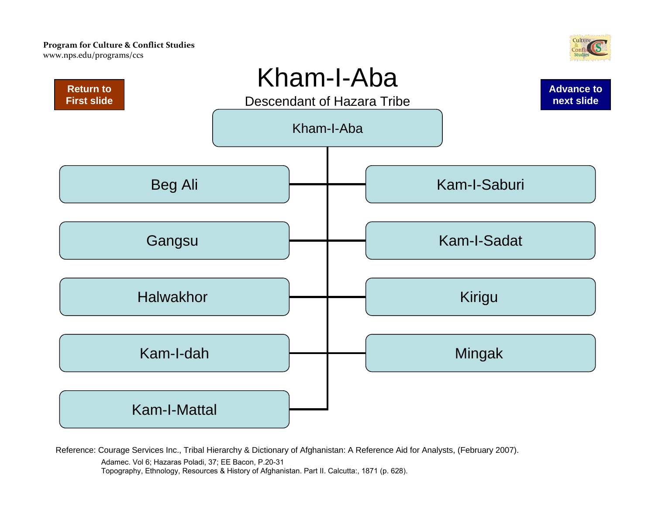<span id="page-17-0"></span>www.nps.e[du/programs/ccs](http://www.nps.edu/Programs/CCS)





Reference: Courage Services Inc., Tribal Hierarchy & Dictionary of Afghanistan: A Reference Aid for Analysts, (February 2007).

Adamec. Vol 6; Hazaras Poladi, 37; EE Bacon, P.20-31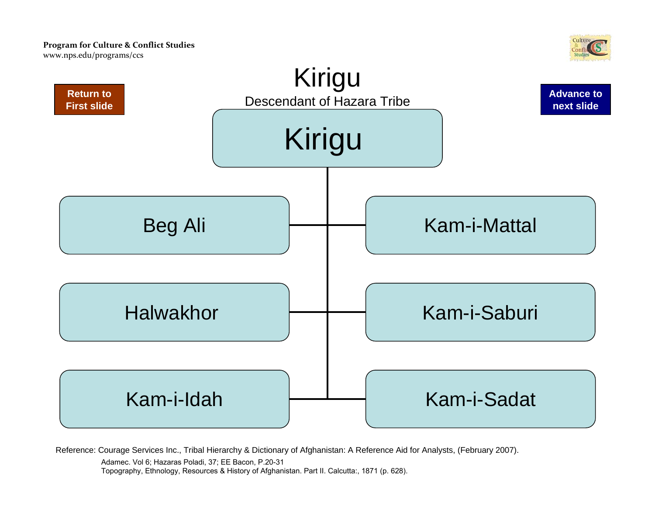

<span id="page-18-0"></span>

Adamec. Vol 6; Hazaras Poladi, 37; EE Bacon, P.20-31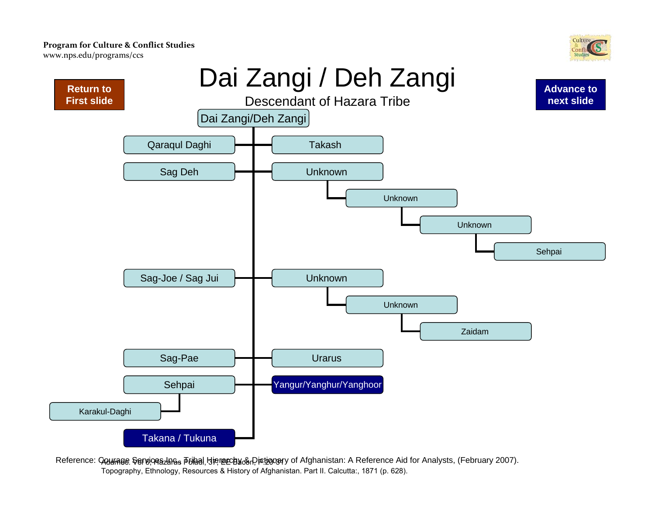<span id="page-19-0"></span>www.nps.e[du/programs/ccs](http://www.nps.edu/Programs/CCS)





Reference: **Counage Sercioeszae**s **Friaal Hierarchy & Dictionar**y of Afghanistan: A Reference Aid for Analysts, (February 2007). Topography, Ethnology, Resources & History of Afghanistan. Part II. Calcutta:, 1871 (p. 628).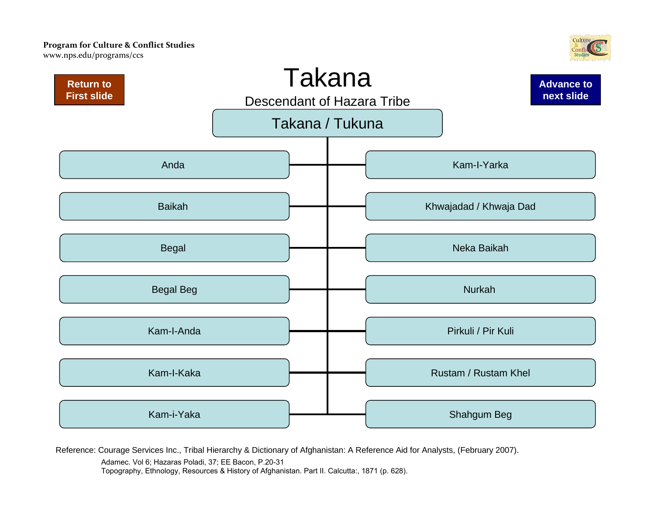<span id="page-20-0"></span>www.nps.e[du/programs/ccs](http://www.nps.edu/Programs/CCS)





Reference: Courage Services Inc., Tribal Hierarchy & Dictionary of Afghanistan: A Reference Aid for Analysts, (February 2007).

Adamec. Vol 6; Hazaras Poladi, 37; EE Bacon, P.20-31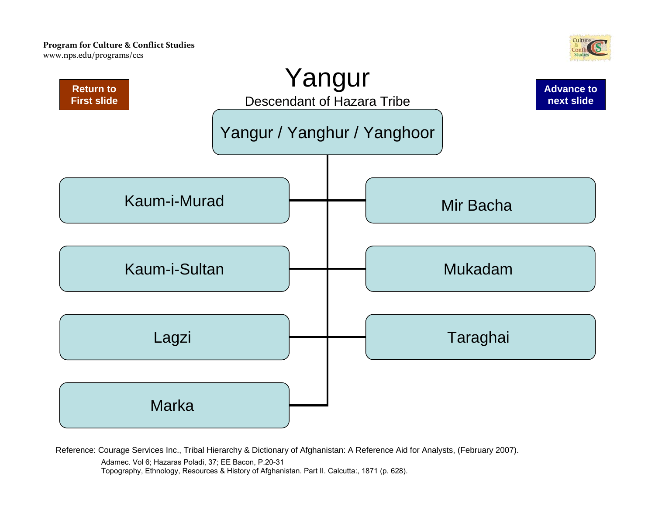<span id="page-21-0"></span>www.nps.e[du/programs/ccs](http://www.nps.edu/Programs/CCS)





Reference: Courage Services Inc., Tribal Hierarchy & Dictionary of Afghanistan: A Reference Aid for Analysts, (February 2007).

Adamec. Vol 6; Hazaras Poladi, 37; EE Bacon, P.20-31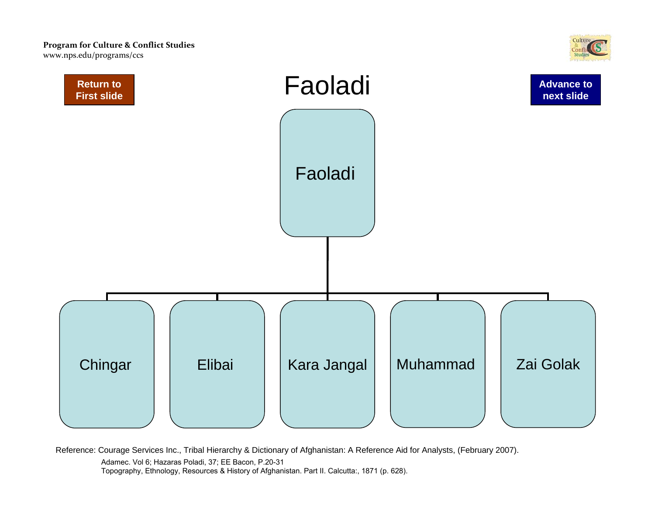<span id="page-22-0"></span>www.nps.e[du/programs/ccs](http://www.nps.edu/Programs/CCS)





Reference: Courage Services Inc., Tribal Hierarchy & Dictionary of Afghanistan: A Reference Aid for Analysts, (February 2007).

Adamec. Vol 6; Hazaras Poladi, 37; EE Bacon, P.20-31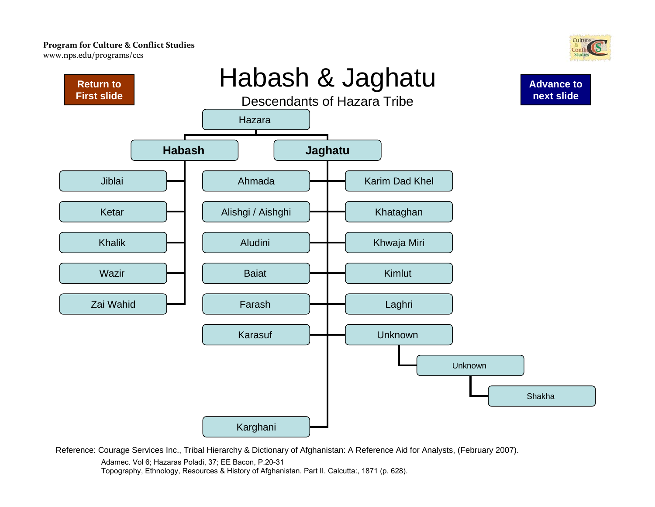<span id="page-23-0"></span>www.nps.e[du/programs/ccs](http://www.nps.edu/Programs/CCS)





Reference: Courage Services Inc., Tribal Hierarchy & Dictionary of Afghanistan: A Reference Aid for Analysts, (February 2007).

Adamec. Vol 6; Hazaras Poladi, 37; EE Bacon, P.20-31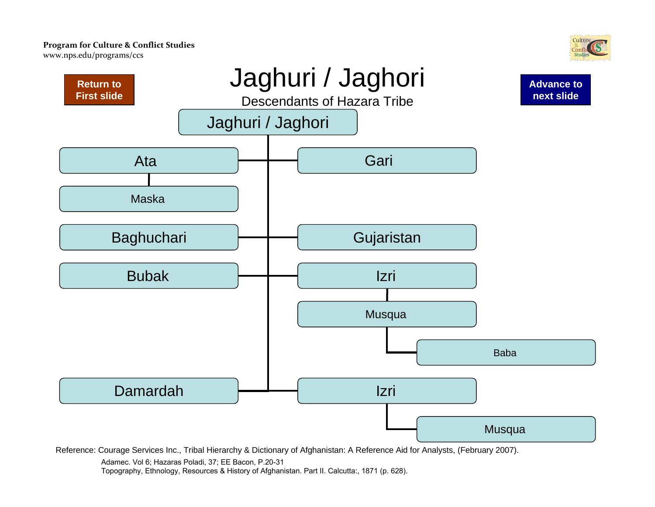<span id="page-24-0"></span>www.nps.e[du/programs/ccs](http://www.nps.edu/Programs/CCS)





Reference: Courage Services Inc., Tribal Hierarchy & Dictionary of Afghanistan: A Reference Aid for Analysts, (February 2007).

Adamec. Vol 6; Hazaras Poladi, 37; EE Bacon, P.20-31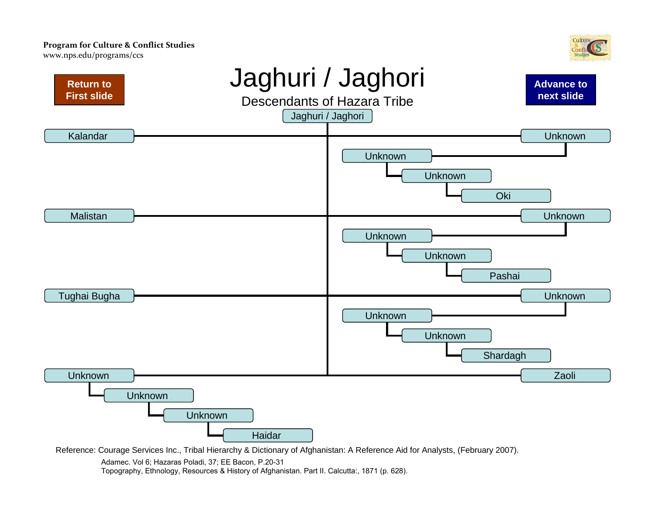<span id="page-25-0"></span>www.nps.e[du/programs/ccs](http://www.nps.edu/Programs/CCS)





Reference: Courage Services Inc., Tribal Hierarchy & Dictionary of Afghanistan: A Reference Aid for Analysts, (February 2007).

Adamec. Vol 6; Hazaras Poladi, 37; EE Bacon, P.20-31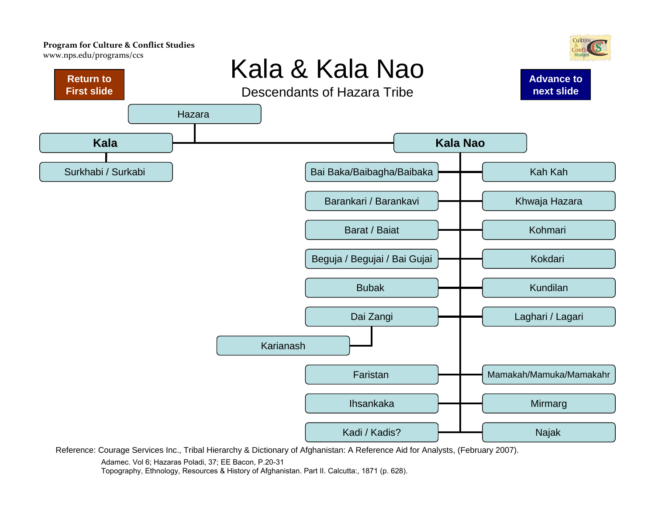<span id="page-26-0"></span>www.nps.e[du/programs/ccs](http://www.nps.edu/Programs/CCS)



Reference: Courage Services Inc., Tribal Hierarchy & Dictionary of Afghanistan: A Reference Aid for Analysts, (February 2007).

Adamec. Vol 6; Hazaras Poladi, 37; EE Bacon, P.20-31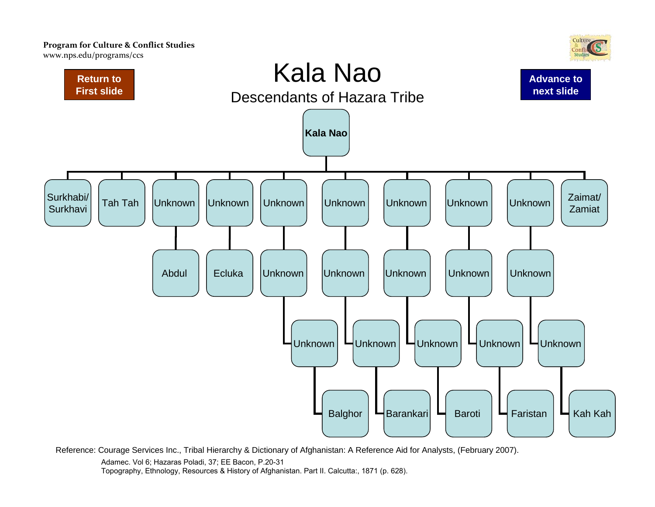<span id="page-27-0"></span>www.nps.e[du/programs/ccs](http://www.nps.edu/Programs/CCS)



Reference: Courage Services Inc., Tribal Hierarchy & Dictionary of Afghanistan: A Reference Aid for Analysts, (February 2007).

Adamec. Vol 6; Hazaras Poladi, 37; EE Bacon, P.20-31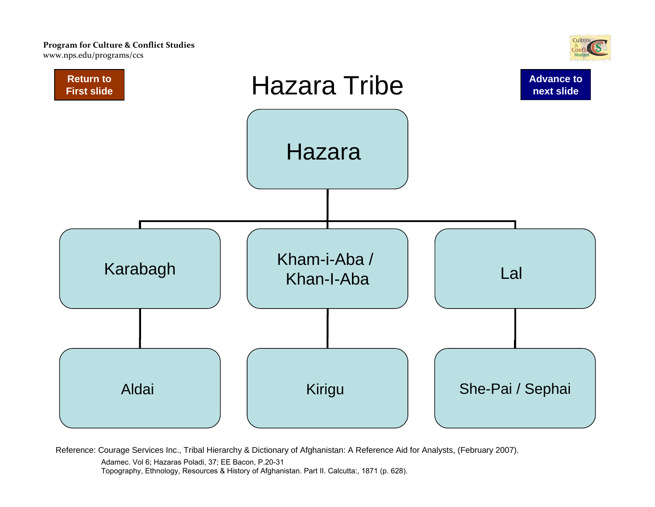<span id="page-28-0"></span>www.nps.e[du/programs/ccs](http://www.nps.edu/Programs/CCS)



Reference: Courage Services Inc., Tribal Hierarchy & Dictionary of Afghanistan: A Reference Aid for Analysts, (February 2007).

Adamec. Vol 6; Hazaras Poladi, 37; EE Bacon, P.20-31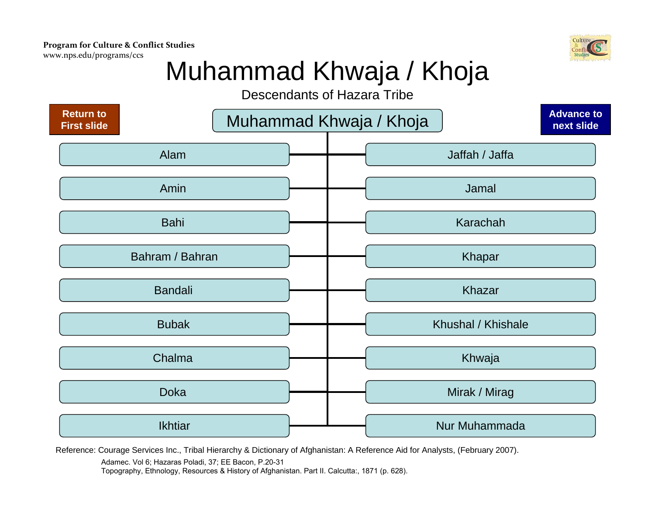<span id="page-29-0"></span>www.nps.e[du/programs/ccs](http://www.nps.edu/Programs/CCS)



### Muhammad Khwaja / Khoja

Descendants of Hazara Tribe



Reference: Courage Services Inc., Tribal Hierarchy & Dictionary of Afghanistan: A Reference Aid for Analysts, (February 2007).

Adamec. Vol 6; Hazaras Poladi, 37; EE Bacon, P.20-31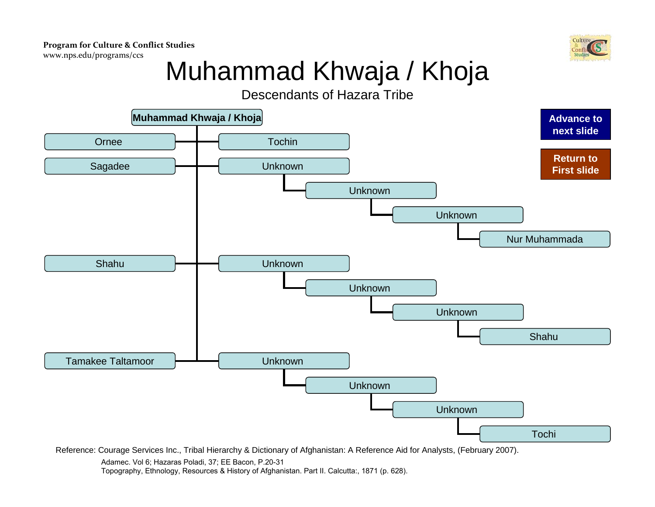

# Muhammad Khwaja / Khoja

### Descendants of Hazara Tribe

<span id="page-30-0"></span>

Reference: Courage Services Inc., Tribal Hierarchy & Dictionary of Afghanistan: A Reference Aid for Analysts, (February 2007).

Adamec. Vol 6; Hazaras Poladi, 37; EE Bacon, P.20-31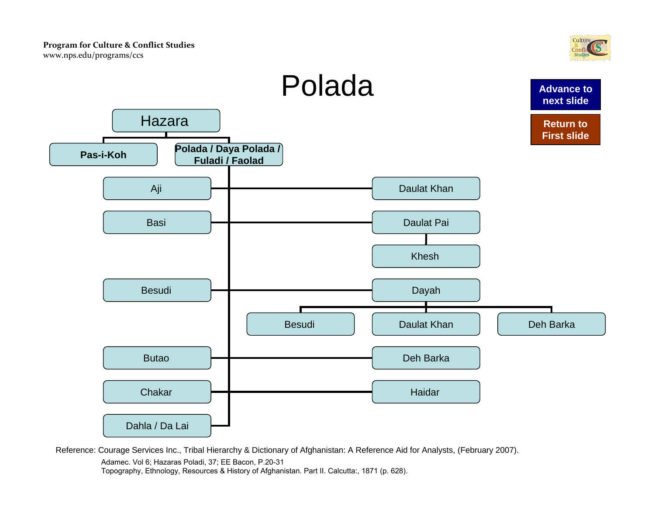

<span id="page-31-0"></span>

Adamec. Vol 6; Hazaras Poladi, 37; EE Bacon, P.20-31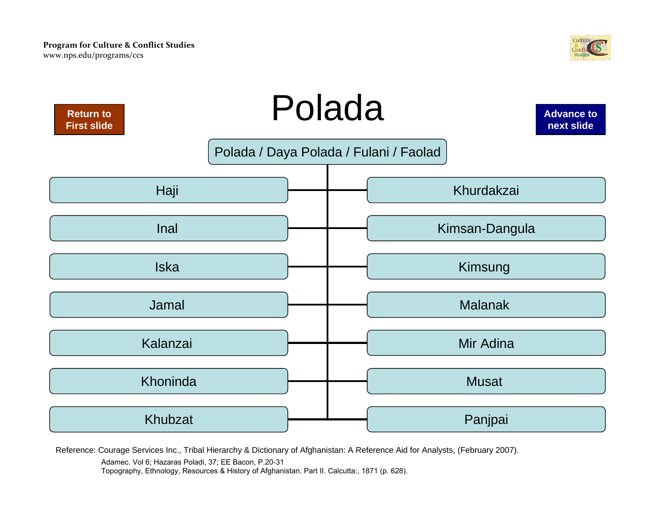

<span id="page-32-0"></span>

Adamec. Vol 6; Hazaras Poladi, 37; EE Bacon, P.20-31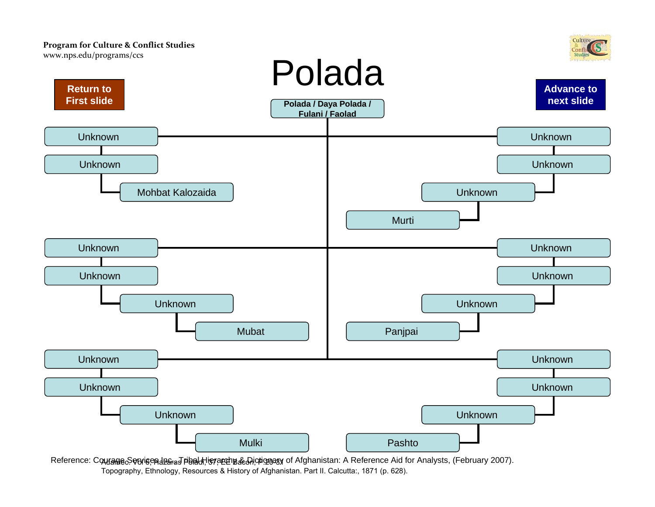<span id="page-33-0"></span>

Reference: Courage&owiceപിളം പ്ലീ സ്റ്റേഷ്യന്റെ മുള്ളിയും Micrionary of Afghanistan: A Reference Aid for Analysts, (February 2007). Topography, Ethnology, Resources & History of Afghanistan. Part II. Calcutta:, 1871 (p. 628).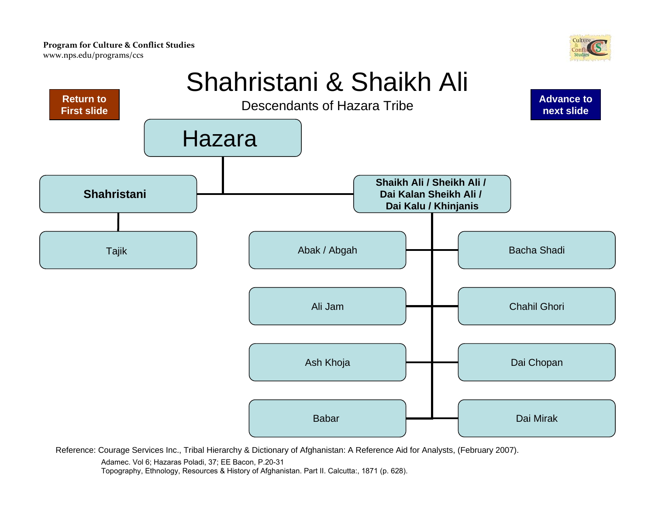

### Shahristani & Shaikh Ali

<span id="page-34-0"></span>

Reference: Courage Services Inc., Tribal Hierarchy & Dictionary of Afghanistan: A Reference Aid for Analysts, (February 2007).

Adamec. Vol 6; Hazaras Poladi, 37; EE Bacon, P.20-31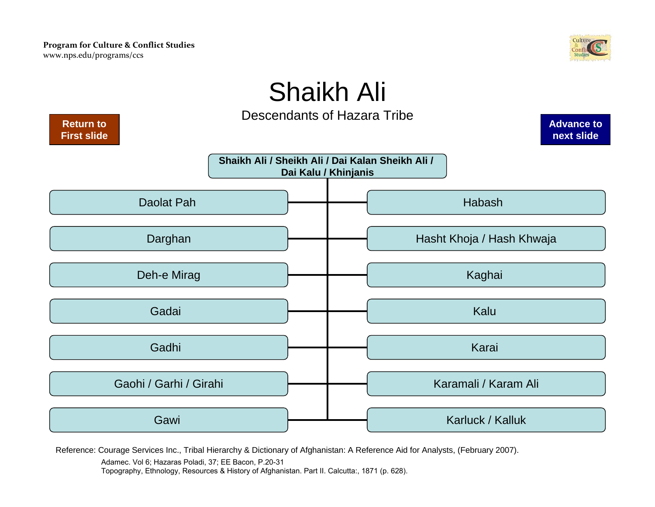

## Shaikh Ali

Descendants of Hazara Tribe

<span id="page-35-0"></span>

Reference: Courage Services Inc., Tribal Hierarchy & Dictionary of Afghanistan: A Reference Aid for Analysts, (February 2007).

Adamec. Vol 6; Hazaras Poladi, 37; EE Bacon, P.20-31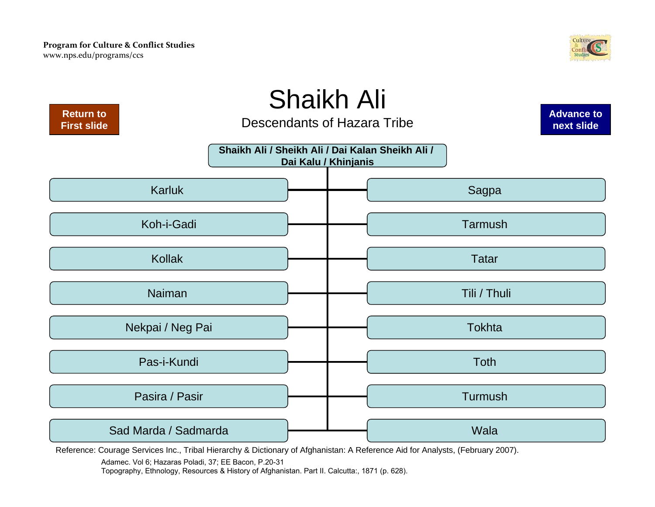

<span id="page-36-0"></span>

Adamec. Vol 6; Hazaras Poladi, 37; EE Bacon, P.20-31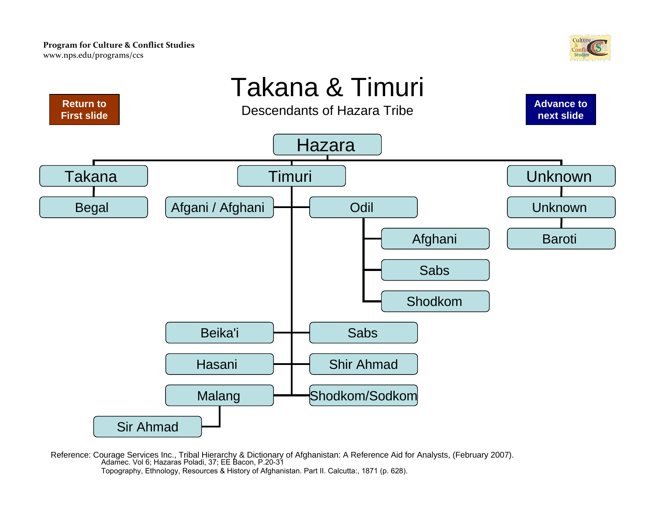<span id="page-37-0"></span>**Return to [First slide](#page-0-0)**



### Takana & Timuri Descendants of Hazara Tribe

**[Advance to](#page-38-0) next slide**



Reference: Courage Services Inc., Tribal Hierarchy & Dictionary of Afghanistan: A Reference Aid for Analysts, (February 2007). Adamec. Vol 6; Hazaras Poladi, 37; EE Bacon, P.20-31 Topography, Ethnology, Resources & History of Afghanistan. Part II. Calcutta:, 1871 (p. 628).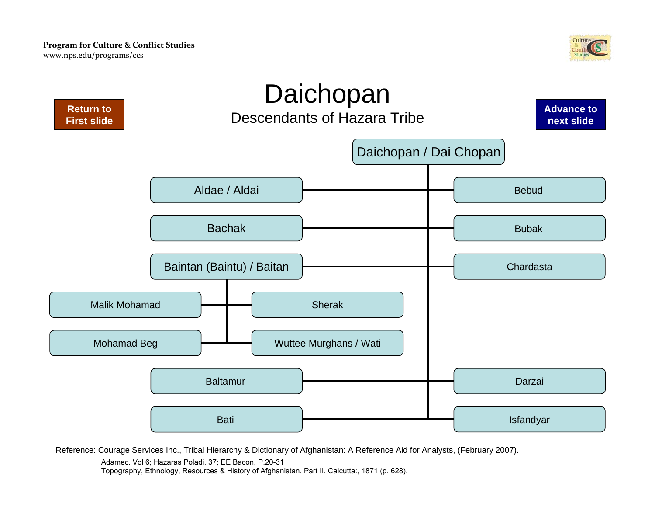

<span id="page-38-0"></span>

Adamec. Vol 6; Hazaras Poladi, 37; EE Bacon, P.20-31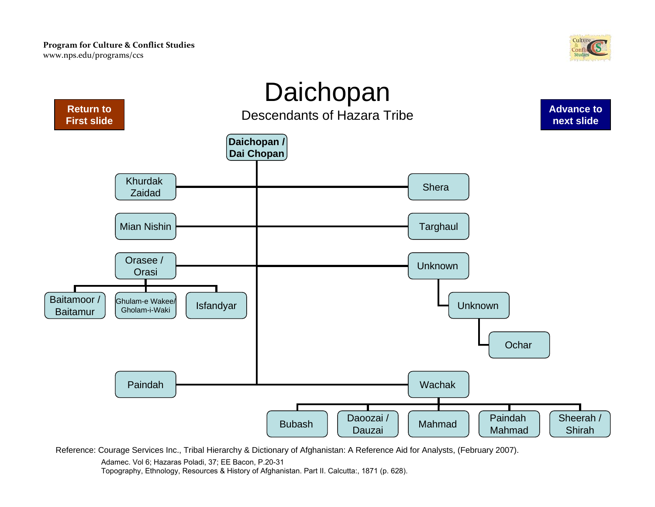

<span id="page-39-0"></span>

Adamec. Vol 6; Hazaras Poladi, 37; EE Bacon, P.20-31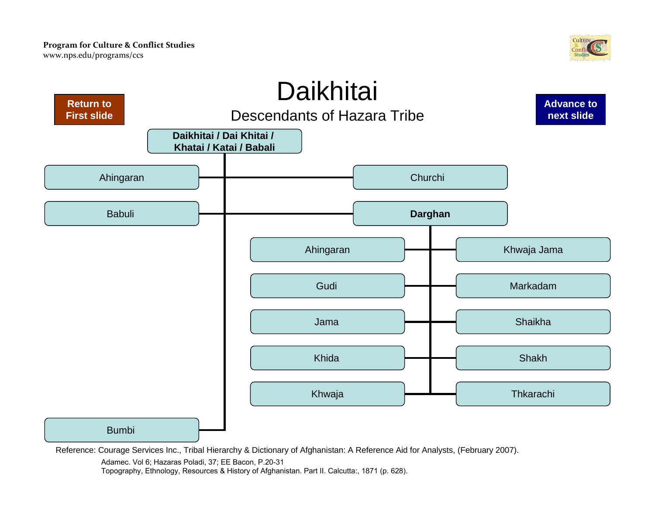

<span id="page-40-0"></span>

Adamec. Vol 6; Hazaras Poladi, 37; EE Bacon, P.20-31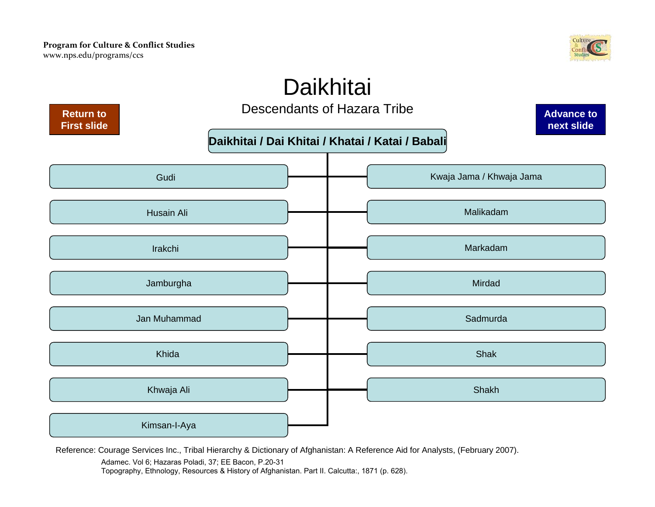

### **Daikhitai**

<span id="page-41-0"></span>

Reference: Courage Services Inc., Tribal Hierarchy & Dictionary of Afghanistan: A Reference Aid for Analysts, (February 2007).

Adamec. Vol 6; Hazaras Poladi, 37; EE Bacon, P.20-31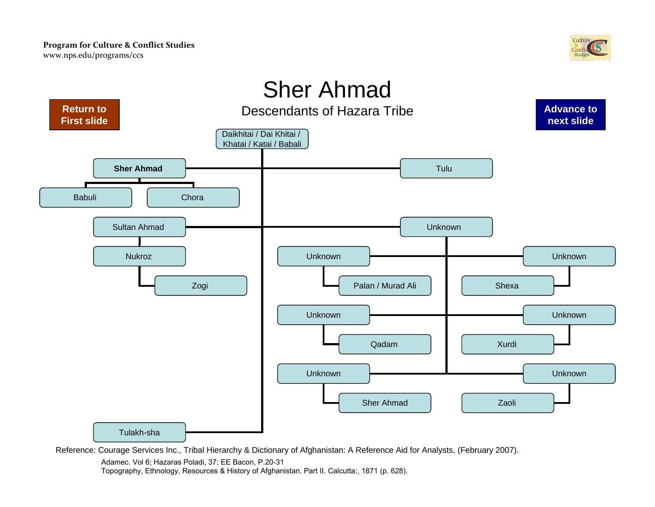

<span id="page-42-0"></span>

Adamec. Vol 6; Hazaras Poladi, 37; EE Bacon, P.20-31